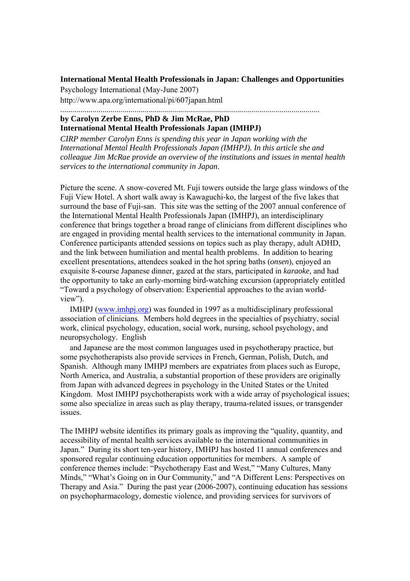#### **International Mental Health Professionals in Japan: Challenges and Opportunities**

Psychology International (May-June 2007) http://www.apa.org/international/pi/607japan.html

.................................................................................................................................

## **by Carolyn Zerbe Enns, PhD & Jim McRae, PhD International Mental Health Professionals Japan (IMHPJ)**

*CIRP member Carolyn Enns is spending this year in Japan working with the International Mental Health Professionals Japan (IMHPJ). In this article she and colleague Jim McRae provide an overview of the institutions and issues in mental health services to the international community in Japan*.

Picture the scene. A snow-covered Mt. Fuji towers outside the large glass windows of the Fuji View Hotel. A short walk away is Kawaguchi-ko, the largest of the five lakes that surround the base of Fuji-san. This site was the setting of the 2007 annual conference of the International Mental Health Professionals Japan (IMHPJ), an interdisciplinary conference that brings together a broad range of clinicians from different disciplines who are engaged in providing mental health services to the international community in Japan. Conference participants attended sessions on topics such as play therapy, adult ADHD, and the link between humiliation and mental health problems. In addition to hearing excellent presentations, attendees soaked in the hot spring baths (*onsen*), enjoyed an exquisite 8-course Japanese dinner, gazed at the stars, participated in *karaoke*, and had the opportunity to take an early-morning bird-watching excursion (appropriately entitled "Toward a psychology of observation: Experiential approaches to the avian worldview").

IMHPJ (www.imhpj.org) was founded in 1997 as a multidisciplinary professional association of clinicians. Members hold degrees in the specialties of psychiatry, social work, clinical psychology, education, social work, nursing, school psychology, and neuropsychology. English

and Japanese are the most common languages used in psychotherapy practice, but some psychotherapists also provide services in French, German, Polish, Dutch, and Spanish. Although many IMHPJ members are expatriates from places such as Europe, North America, and Australia, a substantial proportion of these providers are originally from Japan with advanced degrees in psychology in the United States or the United Kingdom. Most IMHPJ psychotherapists work with a wide array of psychological issues; some also specialize in areas such as play therapy, trauma-related issues, or transgender issues.

The IMHPJ website identifies its primary goals as improving the "quality, quantity, and accessibility of mental health services available to the international communities in Japan." During its short ten-year history, IMHPJ has hosted 11 annual conferences and sponsored regular continuing education opportunities for members. A sample of conference themes include: "Psychotherapy East and West," "Many Cultures, Many Minds," "What's Going on in Our Community," and "A Different Lens: Perspectives on Therapy and Asia." During the past year (2006-2007), continuing education has sessions on psychopharmacology, domestic violence, and providing services for survivors of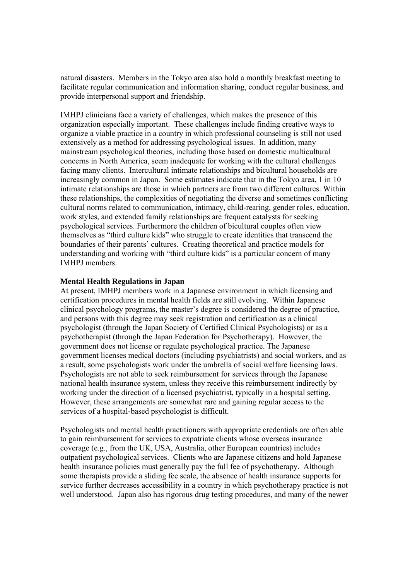natural disasters. Members in the Tokyo area also hold a monthly breakfast meeting to facilitate regular communication and information sharing, conduct regular business, and provide interpersonal support and friendship.

IMHPJ clinicians face a variety of challenges, which makes the presence of this organization especially important. These challenges include finding creative ways to organize a viable practice in a country in which professional counseling is still not used extensively as a method for addressing psychological issues. In addition, many mainstream psychological theories, including those based on domestic multicultural concerns in North America, seem inadequate for working with the cultural challenges facing many clients. Intercultural intimate relationships and bicultural households are increasingly common in Japan. Some estimates indicate that in the Tokyo area, 1 in 10 intimate relationships are those in which partners are from two different cultures. Within these relationships, the complexities of negotiating the diverse and sometimes conflicting cultural norms related to communication, intimacy, child-rearing, gender roles, education, work styles, and extended family relationships are frequent catalysts for seeking psychological services. Furthermore the children of bicultural couples often view themselves as "third culture kids" who struggle to create identities that transcend the boundaries of their parents' cultures. Creating theoretical and practice models for understanding and working with "third culture kids" is a particular concern of many IMHPJ members.

## **Mental Health Regulations in Japan**

At present, IMHPJ members work in a Japanese environment in which licensing and certification procedures in mental health fields are still evolving. Within Japanese clinical psychology programs, the master's degree is considered the degree of practice, and persons with this degree may seek registration and certification as a clinical psychologist (through the Japan Society of Certified Clinical Psychologists) or as a psychotherapist (through the Japan Federation for Psychotherapy). However, the government does not license or regulate psychological practice. The Japanese government licenses medical doctors (including psychiatrists) and social workers, and as a result, some psychologists work under the umbrella of social welfare licensing laws. Psychologists are not able to seek reimbursement for services through the Japanese national health insurance system, unless they receive this reimbursement indirectly by working under the direction of a licensed psychiatrist, typically in a hospital setting. However, these arrangements are somewhat rare and gaining regular access to the services of a hospital-based psychologist is difficult.

Psychologists and mental health practitioners with appropriate credentials are often able to gain reimbursement for services to expatriate clients whose overseas insurance coverage (e.g., from the UK, USA, Australia, other European countries) includes outpatient psychological services. Clients who are Japanese citizens and hold Japanese health insurance policies must generally pay the full fee of psychotherapy. Although some therapists provide a sliding fee scale, the absence of health insurance supports for service further decreases accessibility in a country in which psychotherapy practice is not well understood. Japan also has rigorous drug testing procedures, and many of the newer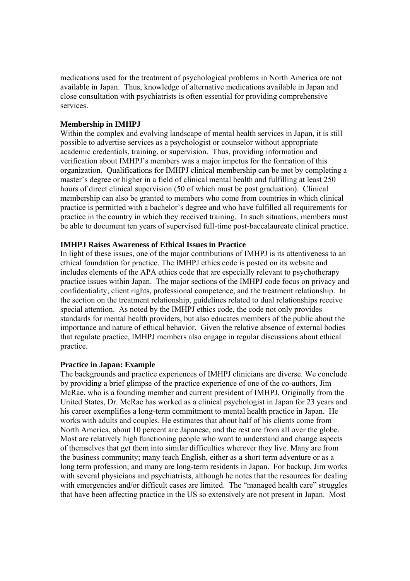medications used for the treatment of psychological problems in North America are not available in Japan. Thus, knowledge of alternative medications available in Japan and close consultation with psychiatrists is often essential for providing comprehensive services.

# **Membership in IMHPJ**

Within the complex and evolving landscape of mental health services in Japan, it is still possible to advertise services as a psychologist or counselor without appropriate academic credentials, training, or supervision. Thus, providing information and verification about IMHPJ's members was a major impetus for the formation of this organization. Qualifications for IMHPJ clinical membership can be met by completing a master's degree or higher in a field of clinical mental health and fulfilling at least 250 hours of direct clinical supervision (50 of which must be post graduation). Clinical membership can also be granted to members who come from countries in which clinical practice is permitted with a bachelor's degree and who have fulfilled all requirements for practice in the country in which they received training. In such situations, members must be able to document ten years of supervised full-time post-baccalaureate clinical practice.

## **IMHPJ Raises Awareness of Ethical Issues in Practice**

In light of these issues, one of the major contributions of IMHPJ is its attentiveness to an ethical foundation for practice. The IMHPJ ethics code is posted on its website and includes elements of the APA ethics code that are especially relevant to psychotherapy practice issues within Japan. The major sections of the IMHPJ code focus on privacy and confidentiality, client rights, professional competence, and the treatment relationship. In the section on the treatment relationship, guidelines related to dual relationships receive special attention. As noted by the IMHPJ ethics code, the code not only provides standards for mental health providers, but also educates members of the public about the importance and nature of ethical behavior. Given the relative absence of external bodies that regulate practice, IMHPJ members also engage in regular discussions about ethical practice.

### **Practice in Japan: Example**

The backgrounds and practice experiences of IMHPJ clinicians are diverse. We conclude by providing a brief glimpse of the practice experience of one of the co-authors, Jim McRae, who is a founding member and current president of IMHPJ. Originally from the United States, Dr. McRae has worked as a clinical psychologist in Japan for 23 years and his career exemplifies a long-term commitment to mental health practice in Japan. He works with adults and couples. He estimates that about half of his clients come from North America, about 10 percent are Japanese, and the rest are from all over the globe. Most are relatively high functioning people who want to understand and change aspects of themselves that get them into similar difficulties wherever they live. Many are from the business community; many teach English, either as a short term adventure or as a long term profession; and many are long-term residents in Japan. For backup, Jim works with several physicians and psychiatrists, although he notes that the resources for dealing with emergencies and/or difficult cases are limited. The "managed health care" struggles that have been affecting practice in the US so extensively are not present in Japan. Most